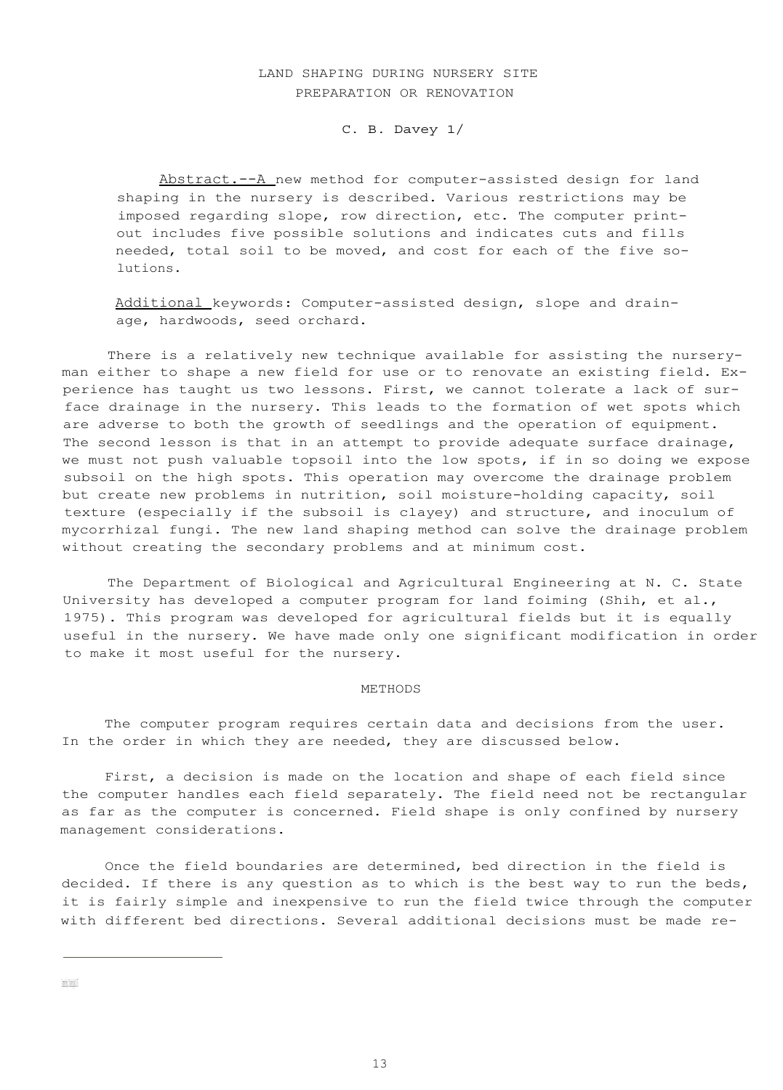# LAND SHAPING DURING NURSERY SITE PREPARATION OR RENOVATION

C. B. Davey 1/

Abstract. -- A new method for computer-assisted design for land shaping in the nursery is described. Various restrictions may be imposed regarding slope, row direction, etc. The computer printout includes five possible solutions and indicates cuts and fills needed, total soil to be moved, and cost for each of the five solutions.

Additional keywords: Computer-assisted design, slope and drainage, hardwoods, seed orchard.

There is a relatively new technique available for assisting the nurseryman either to shape a new field for use or to renovate an existing field. Experience has taught us two lessons. First, we cannot tolerate a lack of surface drainage in the nursery. This leads to the formation of wet spots which are adverse to both the growth of seedlings and the operation of equipment. The second lesson is that in an attempt to provide adequate surface drainage, we must not push valuable topsoil into the low spots, if in so doing we expose subsoil on the high spots. This operation may overcome the drainage problem but create new problems in nutrition, soil moisture-holding capacity, soil texture (especially if the subsoil is clayey) and structure, and inoculum of mycorrhizal fungi. The new land shaping method can solve the drainage problem without creating the secondary problems and at minimum cost.

The Department of Biological and Agricultural Engineering at N. C. State University has developed a computer program for land foiming (Shih, et al., 1975). This program was developed for agricultural fields but it is equally useful in the nursery. We have made only one significant modification in order to make it most useful for the nursery.

#### METHODS

The computer program requires certain data and decisions from the user. In the order in which they are needed, they are discussed below.

First, a decision is made on the location and shape of each field since the computer handles each field separately. The field need not be rectangular as far as the computer is concerned. Field shape is only confined by nursery management considerations.

Once the field boundaries are determined, bed direction in the field is decided. If there is any question as to which is the best way to run the beds, it is fairly simple and inexpensive to run the field twice through the computer with different bed directions. Several additional decisions must be made re-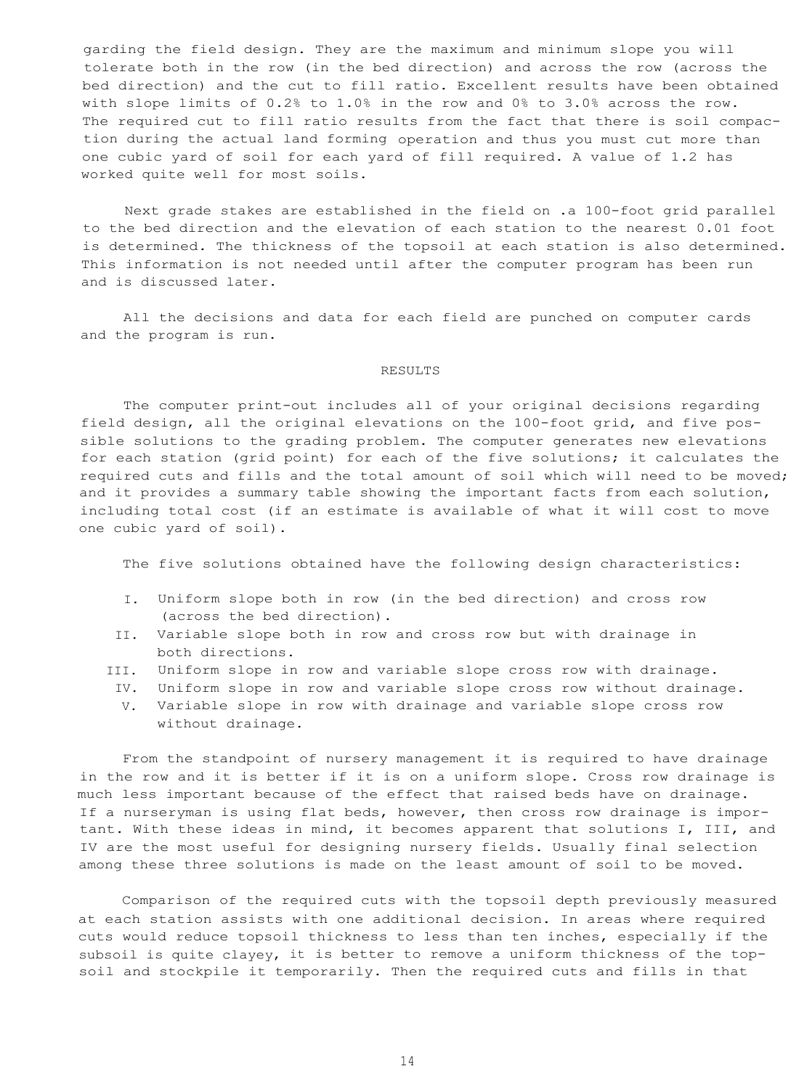garding the field design. They are the maximum and minimum slope you will tolerate both in the row (in the bed direction) and across the row (across the bed direction) and the cut to fill ratio. Excellent results have been obtained with slope limits of 0.2% to 1.0% in the row and 0% to 3.0% across the row. The required cut to fill ratio results from the fact that there is soil compaction during the actual land forming operation and thus you must cut more than one cubic yard of soil for each yard of fill required. A value of 1.2 has worked quite well for most soils.

Next grade stakes are established in the field on .a 100-foot grid parallel to the bed direction and the elevation of each station to the nearest 0.01 foot is determined. The thickness of the topsoil at each station is also determined. This information is not needed until after the computer program has been run and is discussed later.

All the decisions and data for each field are punched on computer cards and the program is run.

## RESULTS

The computer print-out includes all of your original decisions regarding field design, all the original elevations on the 100-foot grid, and five possible solutions to the grading problem. The computer generates new elevations for each station (grid point) for each of the five solutions; it calculates the required cuts and fills and the total amount of soil which will need to be moved; and it provides a summary table showing the important facts from each solution, including total cost (if an estimate is available of what it will cost to move one cubic yard of soil).

The five solutions obtained have the following design characteristics:

- I. Uniform slope both in row (in the bed direction) and cross row (across the bed direction).
- II. Variable slope both in row and cross row but with drainage in both directions.
- III. Uniform slope in row and variable slope cross row with drainage.
	- IV. Uniform slope in row and variable slope cross row without drainage.
	- V. Variable slope in row with drainage and variable slope cross row without drainage.

From the standpoint of nursery management it is required to have drainage in the row and it is better if it is on a uniform slope. Cross row drainage is much less important because of the effect that raised beds have on drainage. If a nurseryman is using flat beds, however, then cross row drainage is important. With these ideas in mind, it becomes apparent that solutions I, III, and IV are the most useful for designing nursery fields. Usually final selection among these three solutions is made on the least amount of soil to be moved.

Comparison of the required cuts with the topsoil depth previously measured at each station assists with one additional decision. In areas where required cuts would reduce topsoil thickness to less than ten inches, especially if the subsoil is quite clayey, it is better to remove a uniform thickness of the topsoil and stockpile it temporarily. Then the required cuts and fills in that